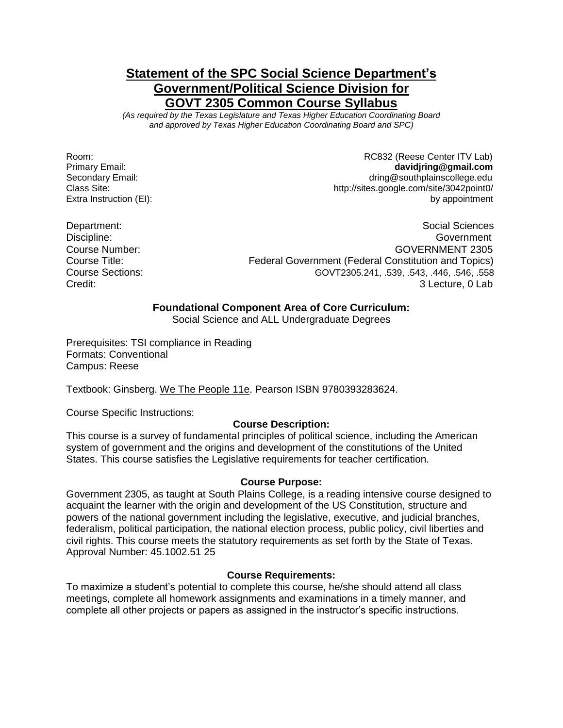# **Statement of the SPC Social Science Department's Government/Political Science Division for GOVT 2305 Common Course Syllabus**

*(As required by the Texas Legislature and Texas Higher Education Coordinating Board and approved by Texas Higher Education Coordinating Board and SPC)*

Room: Room: ROSS2 (Reese Center ITV Lab) Primary Email: **davidjring@gmail.com** Secondary Email: Secondary Email: Secondary Email: Secondary Email: Secondary Email: Secondary Email: Secondary Email: Secondary Email: Secondary Email: Secondary Email: Secondary Email: Secondary Email: Secondary Email: S Class Site: http://sites.google.com/site/3042point0/ Extra Instruction (EI): **by appointment** 

Department: Social Sciences Communication of the Social Sciences Communication of the Social Sciences Communication of the Social Sciences Communication of the Social Sciences Communication of the Social Sciences Communica Discipline: Government Course Number: GOVERNMENT 2305 Course Title: Federal Government (Federal Constitution and Topics) Course Sections: GOVT2305.241, .539, .543, .446, .546, .558 Credit: 3 Lecture, 0 Lab

### **Foundational Component Area of Core Curriculum:**

Social Science and ALL Undergraduate Degrees

Prerequisites: TSI compliance in Reading Formats: Conventional Campus: Reese

Textbook: Ginsberg. We The People 11e. Pearson ISBN 9780393283624.

Course Specific Instructions:

### **Course Description:**

This course is a survey of fundamental principles of political science, including the American system of government and the origins and development of the constitutions of the United States. This course satisfies the Legislative requirements for teacher certification.

#### **Course Purpose:**

Government 2305, as taught at South Plains College, is a reading intensive course designed to acquaint the learner with the origin and development of the US Constitution, structure and powers of the national government including the legislative, executive, and judicial branches, federalism, political participation, the national election process, public policy, civil liberties and civil rights. This course meets the statutory requirements as set forth by the State of Texas. Approval Number: 45.1002.51 25

#### **Course Requirements:**

To maximize a student's potential to complete this course, he/she should attend all class meetings, complete all homework assignments and examinations in a timely manner, and complete all other projects or papers as assigned in the instructor's specific instructions.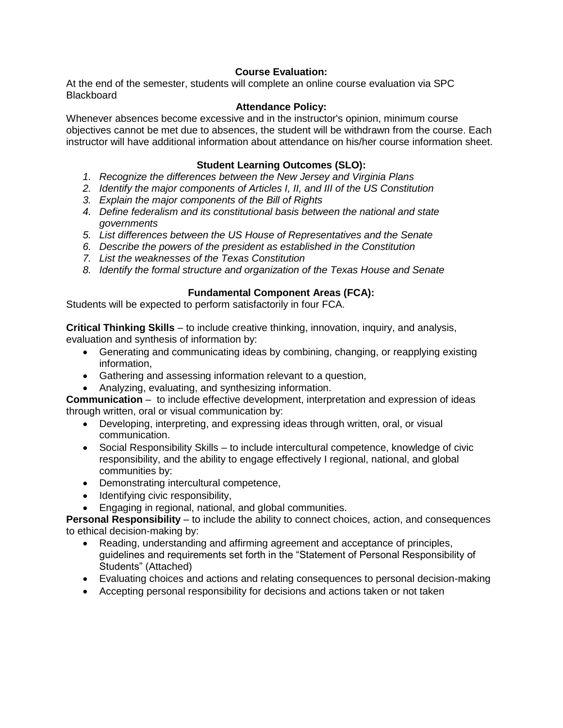### **Course Evaluation:**

At the end of the semester, students will complete an online course evaluation via SPC **Blackboard** 

### **Attendance Policy:**

Whenever absences become excessive and in the instructor's opinion, minimum course objectives cannot be met due to absences, the student will be withdrawn from the course. Each instructor will have additional information about attendance on his/her course information sheet.

## **Student Learning Outcomes (SLO):**

- *1. Recognize the differences between the New Jersey and Virginia Plans*
- *2. Identify the major components of Articles I, II, and III of the US Constitution*
- *3. Explain the major components of the Bill of Rights*
- *4. Define federalism and its constitutional basis between the national and state governments*
- *5. List differences between the US House of Representatives and the Senate*
- *6. Describe the powers of the president as established in the Constitution*
- *7. List the weaknesses of the Texas Constitution*
- *8. Identify the formal structure and organization of the Texas House and Senate*

### **Fundamental Component Areas (FCA):**

Students will be expected to perform satisfactorily in four FCA.

**Critical Thinking Skills** – to include creative thinking, innovation, inquiry, and analysis, evaluation and synthesis of information by:

- Generating and communicating ideas by combining, changing, or reapplying existing information,
- Gathering and assessing information relevant to a question,
- Analyzing, evaluating, and synthesizing information.

**Communication** – to include effective development, interpretation and expression of ideas through written, oral or visual communication by:

- Developing, interpreting, and expressing ideas through written, oral, or visual communication.
- Social Responsibility Skills to include intercultural competence, knowledge of civic responsibility, and the ability to engage effectively I regional, national, and global communities by:
- Demonstrating intercultural competence,
- Identifying civic responsibility,
- Engaging in regional, national, and global communities.

**Personal Responsibility** – to include the ability to connect choices, action, and consequences to ethical decision-making by:

- Reading, understanding and affirming agreement and acceptance of principles, guidelines and requirements set forth in the "Statement of Personal Responsibility of Students" (Attached)
- Evaluating choices and actions and relating consequences to personal decision-making
- Accepting personal responsibility for decisions and actions taken or not taken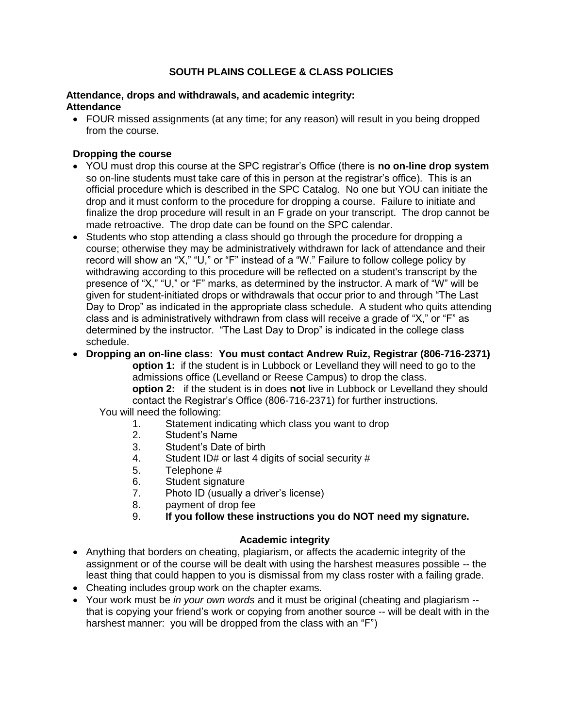# **SOUTH PLAINS COLLEGE & CLASS POLICIES**

### **Attendance, drops and withdrawals, and academic integrity: Attendance**

 FOUR missed assignments (at any time; for any reason) will result in you being dropped from the course.

## **Dropping the course**

- YOU must drop this course at the SPC registrar's Office (there is **no on-line drop system** so on-line students must take care of this in person at the registrar's office). This is an official procedure which is described in the SPC Catalog. No one but YOU can initiate the drop and it must conform to the procedure for dropping a course. Failure to initiate and finalize the drop procedure will result in an F grade on your transcript. The drop cannot be made retroactive. The drop date can be found on the SPC calendar.
- Students who stop attending a class should go through the procedure for dropping a course; otherwise they may be administratively withdrawn for lack of attendance and their record will show an "X," "U," or "F" instead of a "W." Failure to follow college policy by withdrawing according to this procedure will be reflected on a student's transcript by the presence of "X," "U," or "F" marks, as determined by the instructor. A mark of "W" will be given for student-initiated drops or withdrawals that occur prior to and through "The Last Day to Drop" as indicated in the appropriate class schedule. A student who quits attending class and is administratively withdrawn from class will receive a grade of "X," or "F" as determined by the instructor. "The Last Day to Drop" is indicated in the college class schedule.
- **Dropping an on-line class: You must contact Andrew Ruiz, Registrar (806-716-2371)**

**option 1:** if the student is in Lubbock or Levelland they will need to go to the admissions office (Levelland or Reese Campus) to drop the class. **option 2:** if the student is in does **not** live in Lubbock or Levelland they should contact the Registrar's Office (806-716-2371) for further instructions.

- You will need the following:
	- 1. Statement indicating which class you want to drop
	- 2. Student's Name
	- 3. Student's Date of birth
	- 4. Student ID# or last 4 digits of social security #
	- 5. Telephone #
	- 6. Student signature
	- 7. Photo ID (usually a driver's license)
	- 8. payment of drop fee
	- 9. **If you follow these instructions you do NOT need my signature.**

#### **Academic integrity**

- Anything that borders on cheating, plagiarism, or affects the academic integrity of the assignment or of the course will be dealt with using the harshest measures possible -- the least thing that could happen to you is dismissal from my class roster with a failing grade.
- Cheating includes group work on the chapter exams.
- Your work must be *in your own words* and it must be original (cheating and plagiarism that is copying your friend's work or copying from another source -- will be dealt with in the harshest manner: you will be dropped from the class with an "F")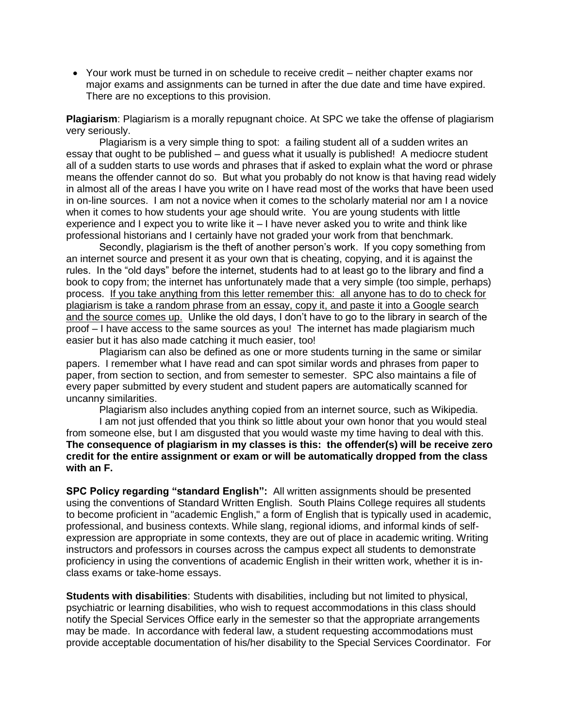Your work must be turned in on schedule to receive credit – neither chapter exams nor major exams and assignments can be turned in after the due date and time have expired. There are no exceptions to this provision.

**Plagiarism**: Plagiarism is a morally repugnant choice. At SPC we take the offense of plagiarism very seriously.

Plagiarism is a very simple thing to spot: a failing student all of a sudden writes an essay that ought to be published – and guess what it usually is published! A mediocre student all of a sudden starts to use words and phrases that if asked to explain what the word or phrase means the offender cannot do so. But what you probably do not know is that having read widely in almost all of the areas I have you write on I have read most of the works that have been used in on-line sources. I am not a novice when it comes to the scholarly material nor am I a novice when it comes to how students your age should write. You are young students with little experience and I expect you to write like it – I have never asked you to write and think like professional historians and I certainly have not graded your work from that benchmark.

Secondly, plagiarism is the theft of another person's work. If you copy something from an internet source and present it as your own that is cheating, copying, and it is against the rules. In the "old days" before the internet, students had to at least go to the library and find a book to copy from; the internet has unfortunately made that a very simple (too simple, perhaps) process. If you take anything from this letter remember this: all anyone has to do to check for plagiarism is take a random phrase from an essay, copy it, and paste it into a Google search and the source comes up. Unlike the old days, I don't have to go to the library in search of the proof – I have access to the same sources as you! The internet has made plagiarism much easier but it has also made catching it much easier, too!

Plagiarism can also be defined as one or more students turning in the same or similar papers. I remember what I have read and can spot similar words and phrases from paper to paper, from section to section, and from semester to semester. SPC also maintains a file of every paper submitted by every student and student papers are automatically scanned for uncanny similarities.

Plagiarism also includes anything copied from an internet source, such as Wikipedia.

I am not just offended that you think so little about your own honor that you would steal from someone else, but I am disgusted that you would waste my time having to deal with this. **The consequence of plagiarism in my classes is this: the offender(s) will be receive zero credit for the entire assignment or exam or will be automatically dropped from the class with an F.**

**SPC Policy regarding "standard English":** All written assignments should be presented using the conventions of Standard Written English. South Plains College requires all students to become proficient in "academic English," a form of English that is typically used in academic, professional, and business contexts. While slang, regional idioms, and informal kinds of selfexpression are appropriate in some contexts, they are out of place in academic writing. Writing instructors and professors in courses across the campus expect all students to demonstrate proficiency in using the conventions of academic English in their written work, whether it is inclass exams or take-home essays.

**Students with disabilities**: Students with disabilities, including but not limited to physical, psychiatric or learning disabilities, who wish to request accommodations in this class should notify the Special Services Office early in the semester so that the appropriate arrangements may be made. In accordance with federal law, a student requesting accommodations must provide acceptable documentation of his/her disability to the Special Services Coordinator. For